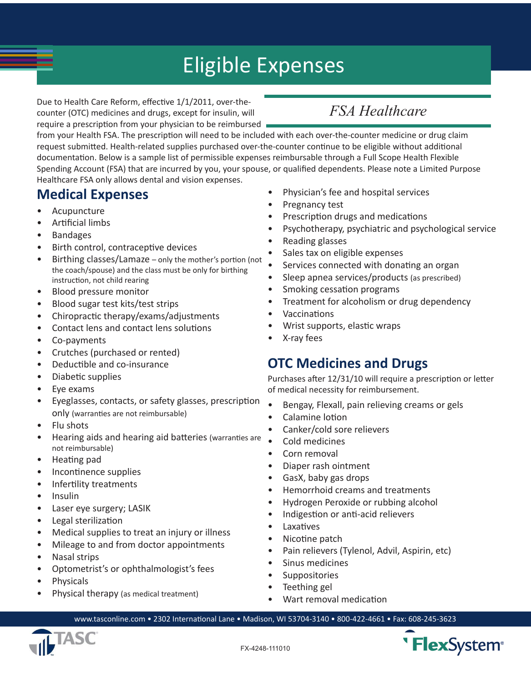# Eligible Expenses

Due to Health Care Reform, effective 1/1/2011, over-thecounter (OTC) medicines and drugs, except for insulin, will require a prescription from your physician to be reimbursed

## *FSA Healthcare*

from your Health FSA. The prescription will need to be included with each over-the-counter medicine or drug claim request submitted. Health-related supplies purchased over-the-counter continue to be eligible without additional documentation. Below is a sample list of permissible expenses reimbursable through a Full Scope Health Flexible Spending Account (FSA) that are incurred by you, your spouse, or qualified dependents. Please note a Limited Purpose Healthcare FSA only allows dental and vision expenses.

#### **Medical Expenses**

- • Acupuncture
- Artificial limbs
- • Bandages
- • Birth control, contraceptive devices
- Birthing classes/Lamaze only the mother's portion (not the coach/spouse) and the class must be only for birthing instruction, not child rearing
- • Blood pressure monitor
- Blood sugar test kits/test strips
- • Chiropractic therapy/exams/adjustments
- Contact lens and contact lens solutions
- • Co-payments
- Crutches (purchased or rented)
- • Deductible and co-insurance
- • Diabetic supplies
- • Eye exams
- • Eyeglasses, contacts, or safety glasses, prescription only (warranties are not reimbursable)
- • Flu shots
- Hearing aids and hearing aid batteries (warranties are not reimbursable)
- • Heating pad
- Incontinence supplies
- • Infertility treatments
- **Insulin**
- Laser eye surgery; LASIK
- • Legal sterilization
- Medical supplies to treat an injury or illness
- • Mileage to and from doctor appointments
- • Nasal strips
- Optometrist's or ophthalmologist's fees
- **Physicals**
- Physical therapy (as medical treatment)
- Physician's fee and hospital services
- Pregnancy test
- Prescription drugs and medications
- Psychotherapy, psychiatric and psychological service
- Reading glasses
- Sales tax on eligible expenses
- Services connected with donating an organ
- Sleep apnea services/products (as prescribed)
- • Smoking cessation programs
- Treatment for alcoholism or drug dependency
- • Vaccinations
- Wrist supports, elastic wraps
- X-ray fees

#### **OTC Medicines and Drugs**

Purchases after 12/31/10 will require a prescription or letter of medical necessity for reimbursement.

- Bengay, Flexall, pain relieving creams or gels
- • Calamine lotion
- Canker/cold sore relievers
- • Cold medicines
- Corn removal
- • Diaper rash ointment
- GasX, baby gas drops
- • Hemorrhoid creams and treatments
- • Hydrogen Peroxide or rubbing alcohol
- Indigestion or anti-acid relievers
- • Laxatives
- Nicotine patch
- Pain relievers (Tylenol, Advil, Aspirin, etc)
- Sinus medicines
- **Suppositories**
- Teething gel
- Wart removal medication

www.tasconline.com • 2302 International Lane • Madison, WI 53704-3140 • 800-422-4661 • Fax: 608-245-3623



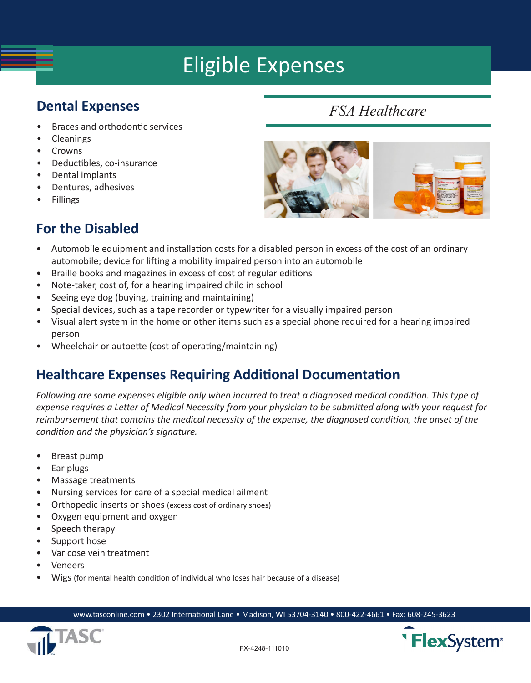# Eligible Expenses

#### **Dental Expenses**

- • Braces and orthodontic services
- **Cleanings**
- • Crowns
- • Deductibles, co-insurance
- • Dental implants
- • Dentures, adhesives
- • Fillings

## *FSA Healthcare*



### **For the Disabled**

- Automobile equipment and installation costs for a disabled person in excess of the cost of an ordinary automobile; device for lifting a mobility impaired person into an automobile
- Braille books and magazines in excess of cost of regular editions
- • Note-taker, cost of, for a hearing impaired child in school
- Seeing eye dog (buying, training and maintaining)
- Special devices, such as a tape recorder or typewriter for a visually impaired person
- Visual alert system in the home or other items such as a special phone required for a hearing impaired person
- Wheelchair or autoette (cost of operating/maintaining)

### **Healthcare Expenses Requiring Additional Documentation**

*Following are some expenses eligible only when incurred to treat a diagnosed medical condition. This type of expense requires a Letter of Medical Necessity from your physician to be submitted along with your request for reimbursement that contains the medical necessity of the expense, the diagnosed condition, the onset of the condition and the physician's signature.* 

- • Breast pump
- • Ear plugs
- Massage treatments
- • Nursing services for care of a special medical ailment
- Orthopedic inserts or shoes (excess cost of ordinary shoes)
- • Oxygen equipment and oxygen
- Speech therapy
- Support hose
- • Varicose vein treatment
- • Veneers
- Wigs (for mental health condition of individual who loses hair because of a disease)

www.tasconline.com • 2302 International Lane • Madison, WI 53704-3140 • 800-422-4661 • Fax: 608-245-3623



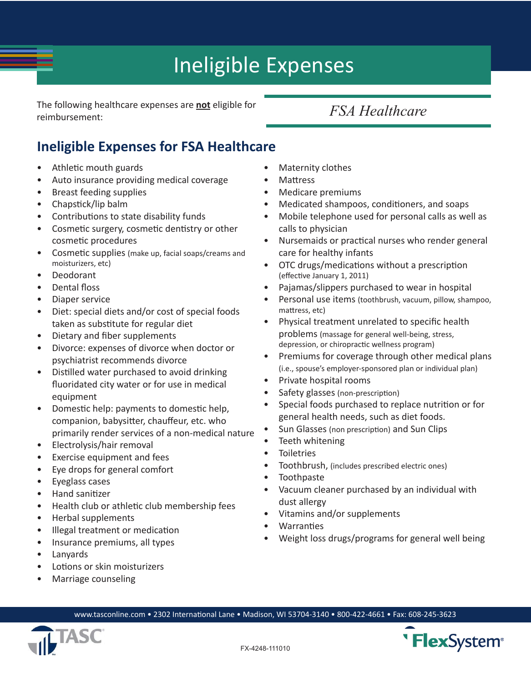# Ineligible Expenses

The following healthcare expenses are **not** eligible for **FSA Healthcare** reimbursement:

## **Ineligible Expenses for FSA Healthcare**

- Athletic mouth guards
- Auto insurance providing medical coverage
- • Breast feeding supplies
- • Chapstick/lip balm
- • Contributions to state disability funds
- • Cosmetic surgery, cosmetic dentistry or other cosmetic procedures
- Cosmetic supplies (make up, facial soaps/creams and moisturizers, etc)
- • Deodorant
- • Dental floss
- Diaper service
- • Diet: special diets and/or cost of special foods taken as substitute for regular diet
- • Dietary and fiber supplements
- • Divorce: expenses of divorce when doctor or psychiatrist recommends divorce
- • Distilled water purchased to avoid drinking fluoridated city water or for use in medical equipment
- • Domestic help: payments to domestic help, companion, babysitter, chauffeur, etc. who primarily render services of a non-medical nature
- • Electrolysis/hair removal
- • Exercise equipment and fees
- Eye drops for general comfort
- • Eyeglass cases
- • Hand sanitizer
- • Health club or athletic club membership fees
- • Herbal supplements
- • Illegal treatment or medication
- Insurance premiums, all types
- • Lanyards
- • Lotions or skin moisturizers
- Marriage counseling
- **Maternity clothes**
- **Mattress**
- Medicare premiums
- Medicated shampoos, conditioners, and soaps
- Mobile telephone used for personal calls as well as calls to physician
- Nursemaids or practical nurses who render general care for healthy infants
- • OTC drugs/medications without a prescription (effective January 1, 2011)
- Pajamas/slippers purchased to wear in hospital
- Personal use items (toothbrush, vacuum, pillow, shampoo, mattress, etc)
- • Physical treatment unrelated to specific health problems (massage for general well-being, stress, depression, or chiropractic wellness program)
- Premiums for coverage through other medical plans (i.e., spouse's employer-sponsored plan or individual plan)
- Private hospital rooms
- Safety glasses (non-prescription)
- • Special foods purchased to replace nutrition or for general health needs, such as diet foods.
- Sun Glasses (non prescription) and Sun Clips
- Teeth whitening
- **Toiletries**
- Toothbrush, (includes prescribed electric ones)
- • Toothpaste
- Vacuum cleaner purchased by an individual with dust allergy
- • Vitamins and/or supplements
- **Warranties**
- Weight loss drugs/programs for general well being

www.tasconline.com • 2302 International Lane • Madison, WI 53704-3140 • 800-422-4661 • Fax: 608-245-3623